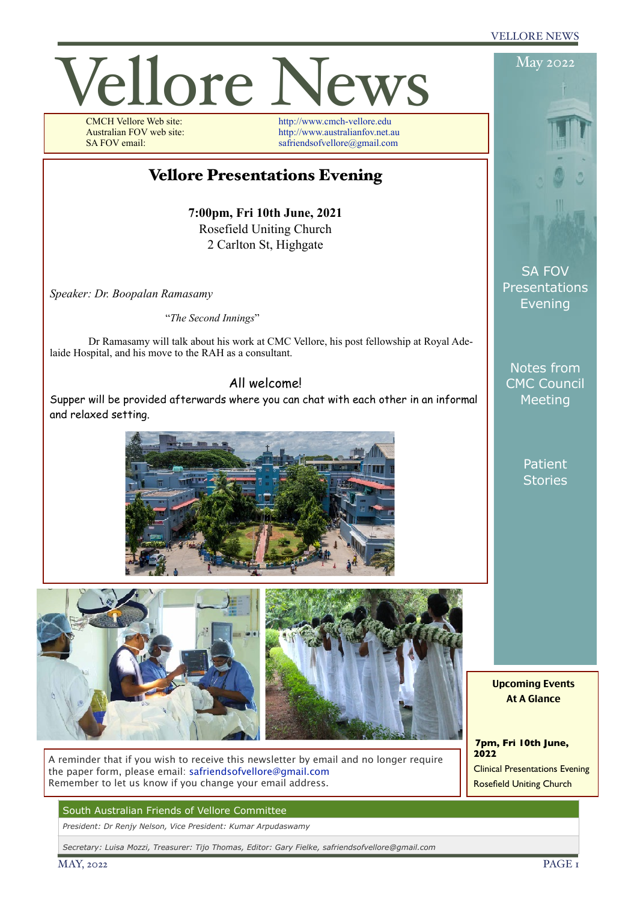#### VELLORE NEWS



A reminder that if you wish to receive this newsletter by email and no longer require the paper form, please email: [safriendsofvellore@gmail.com](mailto:safriendsofvellore@gmail.com) Remember to let us know if you change your email address.

South Australian Friends of Vellore Committee

*President: Dr Renjy Nelson, Vice President: Kumar Arpudaswamy*

*Secretary: Luisa Mozzi, Treasurer: Tijo Thomas, Editor: Gary Fielke, safriendsofvellore@gmail.com*

**2022** Clinical Presentations Evening Rosefield Uniting Church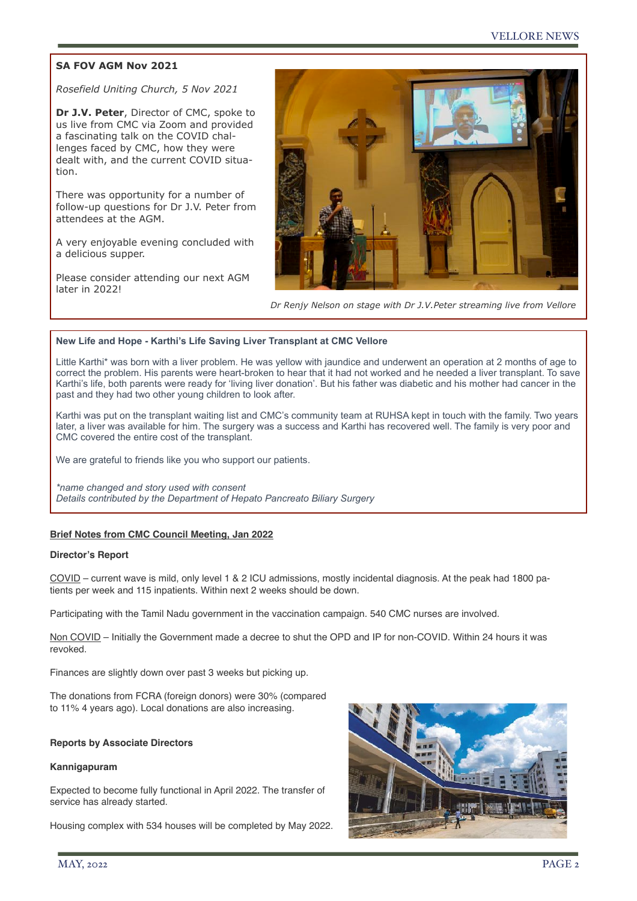# **SA FOV AGM Nov 2021**

*Rosefield Uniting Church, 5 Nov 2021* 

**Dr J.V. Peter**, Director of CMC, spoke to us live from CMC via Zoom and provided a fascinating talk on the COVID challenges faced by CMC, how they were dealt with, and the current COVID situation.

There was opportunity for a number of follow-up questions for Dr J.V. Peter from attendees at the AGM.

A very enjoyable evening concluded with a delicious supper.

Please consider attending our next AGM later in 2022!



*Dr Renjy Nelson on stage with Dr J.V.Peter streaming live from Vellore*

### **New Life and Hope - Karthi's Life Saving Liver Transplant at CMC Vellore**

Little Karthi\* was born with a liver problem. He was yellow with jaundice and underwent an operation at 2 months of age to correct the problem. His parents were heart-broken to hear that it had not worked and he needed a liver transplant. To save Karthi's life, both parents were ready for 'living liver donation'. But his father was diabetic and his mother had cancer in the past and they had two other young children to look after.

Karthi was put on the transplant waiting list and CMC's community team at RUHSA kept in touch with the family. Two years later, a liver was available for him. The surgery was a success and Karthi has recovered well. The family is very poor and CMC covered the entire cost of the transplant.

We are grateful to friends like you who support our patients.

*\*name changed and story used with consent Details contributed by the Department of Hepato Pancreato Biliary Surgery*

## **Brief Notes from CMC Council Meeting, Jan 2022**

#### **Director's Report**

COVID – current wave is mild, only level 1 & 2 ICU admissions, mostly incidental diagnosis. At the peak had 1800 patients per week and 115 inpatients. Within next 2 weeks should be down.

Participating with the Tamil Nadu government in the vaccination campaign. 540 CMC nurses are involved.

Non COVID – Initially the Government made a decree to shut the OPD and IP for non-COVID. Within 24 hours it was revoked.

Finances are slightly down over past 3 weeks but picking up.

The donations from FCRA (foreign donors) were 30% (compared to 11% 4 years ago). Local donations are also increasing.

#### **Reports by Associate Directors**

#### **Kannigapuram**

Expected to become fully functional in April 2022. The transfer of service has already started.

Housing complex with 534 houses will be completed by May 2022.